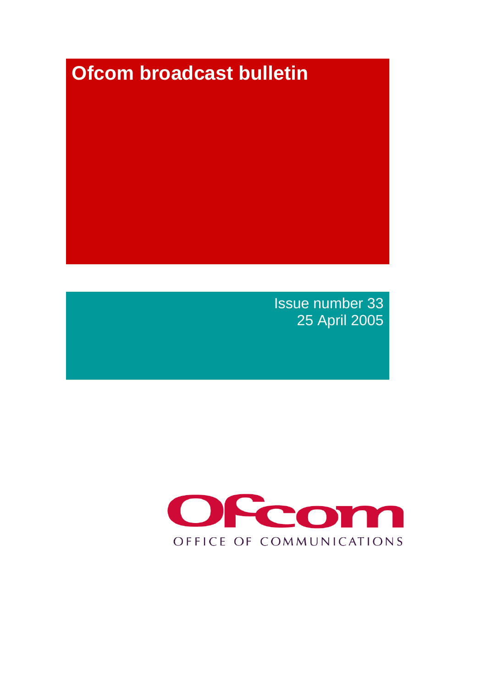# **Ofcom broadcast bulletin**

Issue number 33 25 April 2005

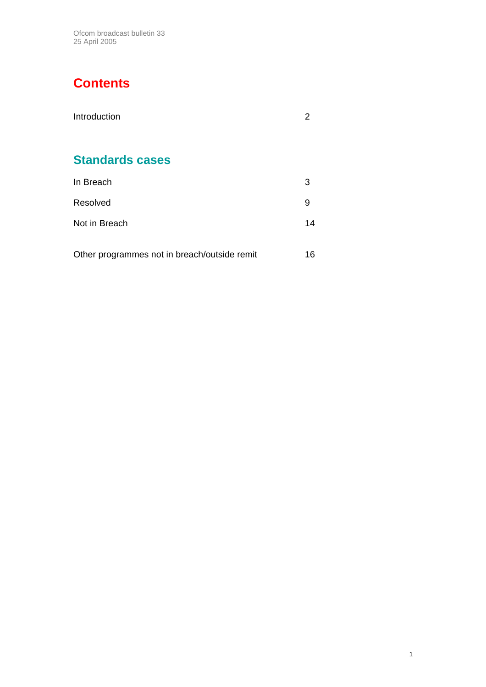Ofcom broadcast bulletin 33 25 April 2005

# **Contents**

| Introduction                                 | 2  |
|----------------------------------------------|----|
| <b>Standards cases</b>                       |    |
| In Breach                                    | 3  |
| Resolved                                     | 9  |
| Not in Breach                                | 14 |
| Other programmes not in breach/outside remit | 16 |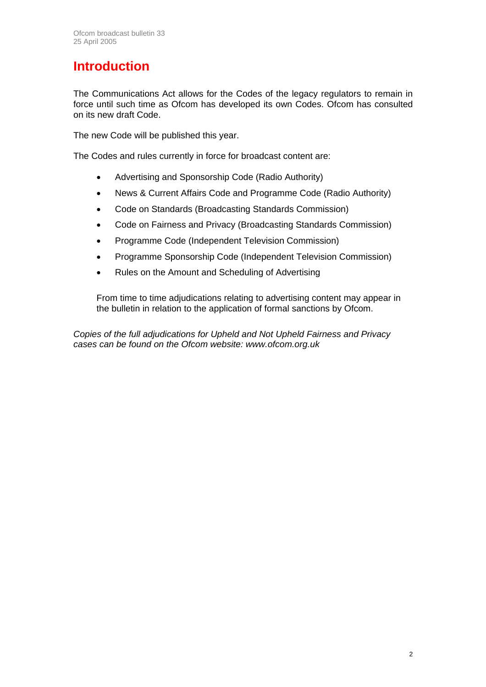# **Introduction**

The Communications Act allows for the Codes of the legacy regulators to remain in force until such time as Ofcom has developed its own Codes. Ofcom has consulted on its new draft Code.

The new Code will be published this year.

The Codes and rules currently in force for broadcast content are:

- Advertising and Sponsorship Code (Radio Authority)
- News & Current Affairs Code and Programme Code (Radio Authority)
- Code on Standards (Broadcasting Standards Commission)
- Code on Fairness and Privacy (Broadcasting Standards Commission)
- Programme Code (Independent Television Commission)
- Programme Sponsorship Code (Independent Television Commission)
- Rules on the Amount and Scheduling of Advertising

From time to time adjudications relating to advertising content may appear in the bulletin in relation to the application of formal sanctions by Ofcom.

*Copies of the full adjudications for Upheld and Not Upheld Fairness and Privacy cases can be found on the Ofcom website: www.ofcom.org.uk*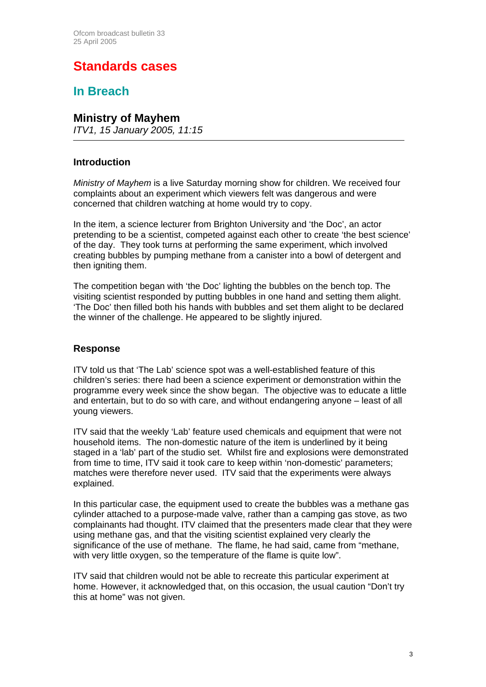# **Standards cases**

### **In Breach**

### **Ministry of Mayhem**

*ITV1, 15 January 2005, 11:15* 

#### **Introduction**

*Ministry of Mayhem* is a live Saturday morning show for children. We received four complaints about an experiment which viewers felt was dangerous and were concerned that children watching at home would try to copy.

In the item, a science lecturer from Brighton University and 'the Doc', an actor pretending to be a scientist, competed against each other to create 'the best science' of the day. They took turns at performing the same experiment, which involved creating bubbles by pumping methane from a canister into a bowl of detergent and then igniting them.

The competition began with 'the Doc' lighting the bubbles on the bench top. The visiting scientist responded by putting bubbles in one hand and setting them alight. 'The Doc' then filled both his hands with bubbles and set them alight to be declared the winner of the challenge. He appeared to be slightly injured.

#### **Response**

ITV told us that 'The Lab' science spot was a well-established feature of this children's series: there had been a science experiment or demonstration within the programme every week since the show began. The objective was to educate a little and entertain, but to do so with care, and without endangering anyone – least of all young viewers.

ITV said that the weekly 'Lab' feature used chemicals and equipment that were not household items. The non-domestic nature of the item is underlined by it being staged in a 'lab' part of the studio set. Whilst fire and explosions were demonstrated from time to time, ITV said it took care to keep within 'non-domestic' parameters; matches were therefore never used. ITV said that the experiments were always explained.

In this particular case, the equipment used to create the bubbles was a methane gas cylinder attached to a purpose-made valve, rather than a camping gas stove, as two complainants had thought. ITV claimed that the presenters made clear that they were using methane gas, and that the visiting scientist explained very clearly the significance of the use of methane. The flame, he had said, came from "methane, with very little oxygen, so the temperature of the flame is quite low".

ITV said that children would not be able to recreate this particular experiment at home. However, it acknowledged that, on this occasion, the usual caution "Don't try this at home" was not given.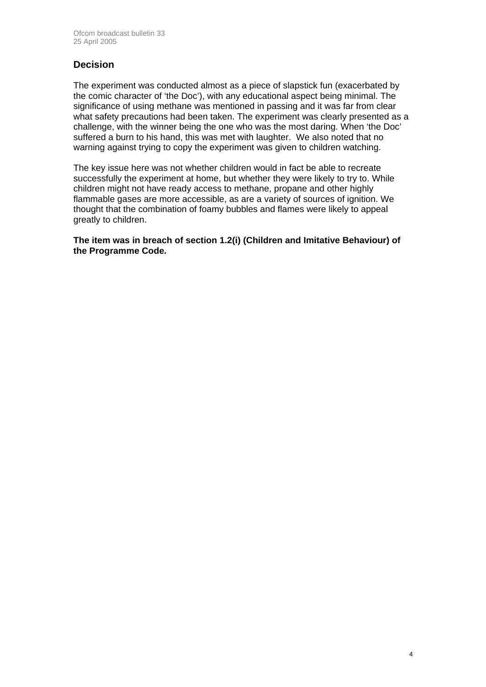### **Decision**

The experiment was conducted almost as a piece of slapstick fun (exacerbated by the comic character of 'the Doc'), with any educational aspect being minimal. The significance of using methane was mentioned in passing and it was far from clear what safety precautions had been taken. The experiment was clearly presented as a challenge, with the winner being the one who was the most daring. When 'the Doc' suffered a burn to his hand, this was met with laughter. We also noted that no warning against trying to copy the experiment was given to children watching.

The key issue here was not whether children would in fact be able to recreate successfully the experiment at home, but whether they were likely to try to. While children might not have ready access to methane, propane and other highly flammable gases are more accessible, as are a variety of sources of ignition. We thought that the combination of foamy bubbles and flames were likely to appeal greatly to children.

**The item was in breach of section 1.2(i) (Children and Imitative Behaviour) of the Programme Code***.*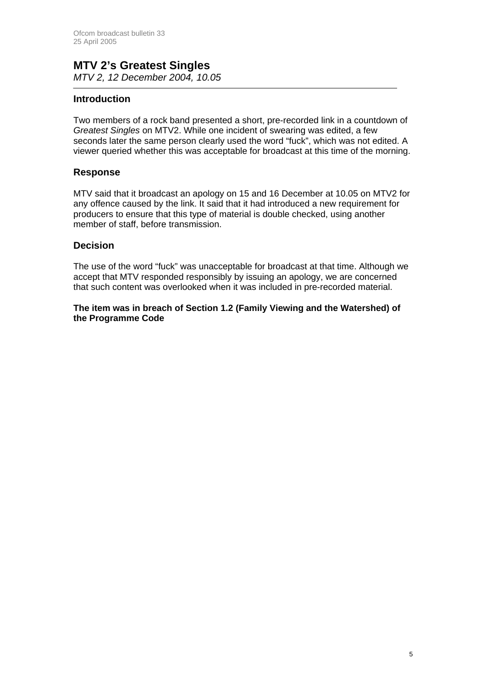#### **MTV 2's Greatest Singles**  *MTV 2, 12 December 2004, 10.05*

#### **Introduction**

Two members of a rock band presented a short, pre-recorded link in a countdown of *Greatest Singles* on MTV2. While one incident of swearing was edited, a few seconds later the same person clearly used the word "fuck", which was not edited. A viewer queried whether this was acceptable for broadcast at this time of the morning.

#### **Response**

MTV said that it broadcast an apology on 15 and 16 December at 10.05 on MTV2 for any offence caused by the link. It said that it had introduced a new requirement for producers to ensure that this type of material is double checked, using another member of staff, before transmission.

#### **Decision**

The use of the word "fuck" was unacceptable for broadcast at that time. Although we accept that MTV responded responsibly by issuing an apology, we are concerned that such content was overlooked when it was included in pre-recorded material.

#### **The item was in breach of Section 1.2 (Family Viewing and the Watershed) of the Programme Code**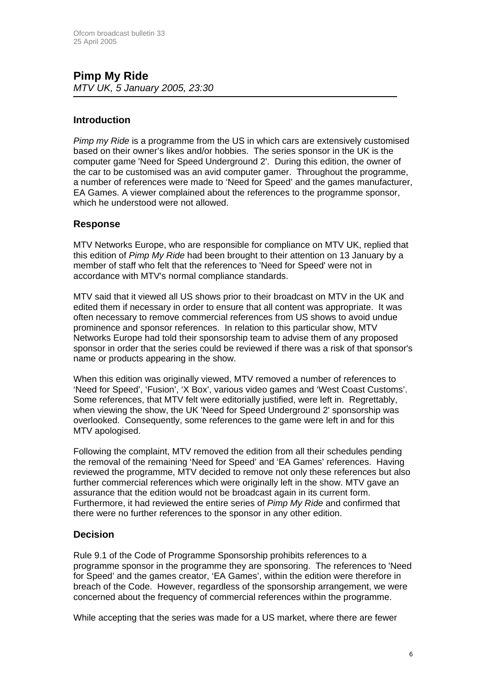### **Pimp My Ride**  *MTV UK, 5 January 2005, 23:30*

#### **Introduction**

*Pimp my Ride* is a programme from the US in which cars are extensively customised based on their owner's likes and/or hobbies. The series sponsor in the UK is the computer game 'Need for Speed Underground 2'. During this edition, the owner of the car to be customised was an avid computer gamer. Throughout the programme, a number of references were made to 'Need for Speed' and the games manufacturer, EA Games. A viewer complained about the references to the programme sponsor, which he understood were not allowed.

#### **Response**

MTV Networks Europe, who are responsible for compliance on MTV UK, replied that this edition of *Pimp My Ride* had been brought to their attention on 13 January by a member of staff who felt that the references to 'Need for Speed' were not in accordance with MTV's normal compliance standards.

MTV said that it viewed all US shows prior to their broadcast on MTV in the UK and edited them if necessary in order to ensure that all content was appropriate. It was often necessary to remove commercial references from US shows to avoid undue prominence and sponsor references. In relation to this particular show, MTV Networks Europe had told their sponsorship team to advise them of any proposed sponsor in order that the series could be reviewed if there was a risk of that sponsor's name or products appearing in the show.

When this edition was originally viewed, MTV removed a number of references to 'Need for Speed', 'Fusion', 'X Box', various video games and 'West Coast Customs'. Some references, that MTV felt were editorially justified, were left in. Regrettably, when viewing the show, the UK 'Need for Speed Underground 2' sponsorship was overlooked. Consequently, some references to the game were left in and for this MTV apologised.

Following the complaint, MTV removed the edition from all their schedules pending the removal of the remaining 'Need for Speed' and 'EA Games' references. Having reviewed the programme, MTV decided to remove not only these references but also further commercial references which were originally left in the show. MTV gave an assurance that the edition would not be broadcast again in its current form. Furthermore, it had reviewed the entire series of *Pimp My Ride* and confirmed that there were no further references to the sponsor in any other edition.

#### **Decision**

Rule 9.1 of the Code of Programme Sponsorship prohibits references to a programme sponsor in the programme they are sponsoring. The references to 'Need for Speed' and the games creator, 'EA Games', within the edition were therefore in breach of the Code. However, regardless of the sponsorship arrangement, we were concerned about the frequency of commercial references within the programme.

While accepting that the series was made for a US market, where there are fewer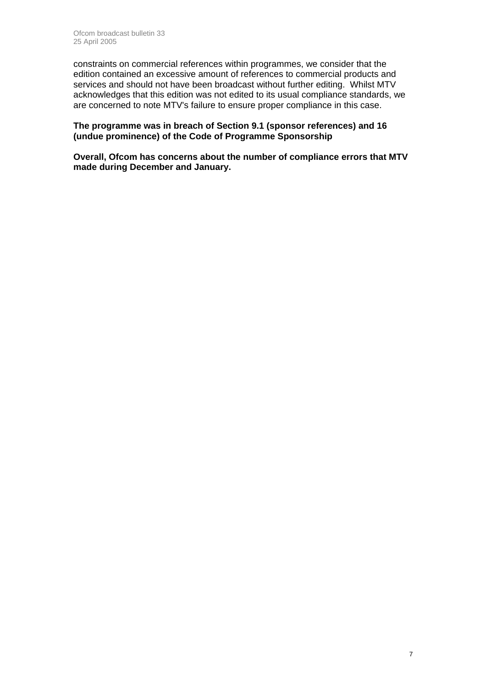constraints on commercial references within programmes, we consider that the edition contained an excessive amount of references to commercial products and services and should not have been broadcast without further editing. Whilst MTV acknowledges that this edition was not edited to its usual compliance standards, we are concerned to note MTV's failure to ensure proper compliance in this case.

#### **The programme was in breach of Section 9.1 (sponsor references) and 16 (undue prominence) of the Code of Programme Sponsorship**

**Overall, Ofcom has concerns about the number of compliance errors that MTV made during December and January.**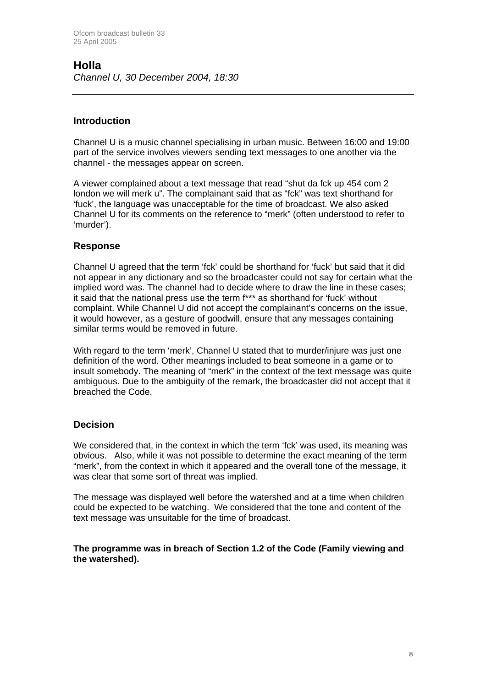### **Holla**  *Channel U, 30 December 2004, 18:30*

#### **Introduction**

Channel U is a music channel specialising in urban music. Between 16:00 and 19:00 part of the service involves viewers sending text messages to one another via the channel - the messages appear on screen.

A viewer complained about a text message that read "shut da fck up 454 com 2 london we will merk u". The complainant said that as "fck" was text shorthand for 'fuck', the language was unacceptable for the time of broadcast. We also asked Channel U for its comments on the reference to "merk" (often understood to refer to 'murder').

#### **Response**

Channel U agreed that the term 'fck' could be shorthand for 'fuck' but said that it did not appear in any dictionary and so the broadcaster could not say for certain what the implied word was. The channel had to decide where to draw the line in these cases; it said that the national press use the term f\*\*\* as shorthand for 'fuck' without complaint. While Channel U did not accept the complainant's concerns on the issue, it would however, as a gesture of goodwill, ensure that any messages containing similar terms would be removed in future.

With regard to the term 'merk', Channel U stated that to murder/injure was just one definition of the word. Other meanings included to beat someone in a game or to insult somebody. The meaning of "merk" in the context of the text message was quite ambiguous. Due to the ambiguity of the remark, the broadcaster did not accept that it breached the Code.

#### **Decision**

We considered that, in the context in which the term 'fck' was used, its meaning was obvious. Also, while it was not possible to determine the exact meaning of the term "merk", from the context in which it appeared and the overall tone of the message, it was clear that some sort of threat was implied.

The message was displayed well before the watershed and at a time when children could be expected to be watching. We considered that the tone and content of the text message was unsuitable for the time of broadcast.

**The programme was in breach of Section 1.2 of the Code (Family viewing and the watershed).**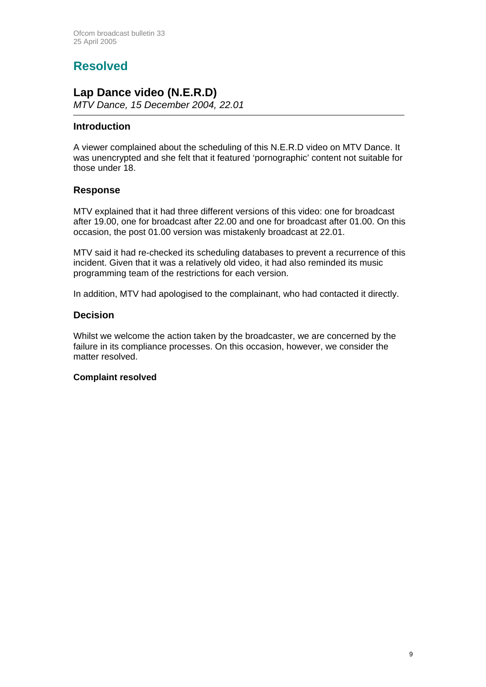# **Resolved**

## **Lap Dance video (N.E.R.D)**

*MTV Dance, 15 December 2004, 22.01* 

#### **Introduction**

A viewer complained about the scheduling of this N.E.R.D video on MTV Dance. It was unencrypted and she felt that it featured 'pornographic' content not suitable for those under 18.

#### **Response**

MTV explained that it had three different versions of this video: one for broadcast after 19.00, one for broadcast after 22.00 and one for broadcast after 01.00. On this occasion, the post 01.00 version was mistakenly broadcast at 22.01.

MTV said it had re-checked its scheduling databases to prevent a recurrence of this incident. Given that it was a relatively old video, it had also reminded its music programming team of the restrictions for each version.

In addition, MTV had apologised to the complainant, who had contacted it directly.

#### **Decision**

Whilst we welcome the action taken by the broadcaster, we are concerned by the failure in its compliance processes. On this occasion, however, we consider the matter resolved.

#### **Complaint resolved**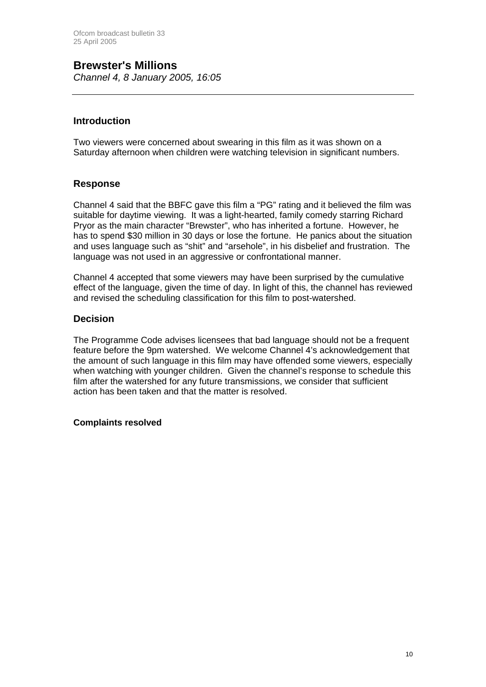**Brewster's Millions**  *Channel 4, 8 January 2005, 16:05*

#### **Introduction**

Two viewers were concerned about swearing in this film as it was shown on a Saturday afternoon when children were watching television in significant numbers.

#### **Response**

Channel 4 said that the BBFC gave this film a "PG" rating and it believed the film was suitable for daytime viewing. It was a light-hearted, family comedy starring Richard Pryor as the main character "Brewster", who has inherited a fortune. However, he has to spend \$30 million in 30 days or lose the fortune. He panics about the situation and uses language such as "shit" and "arsehole", in his disbelief and frustration. The language was not used in an aggressive or confrontational manner.

Channel 4 accepted that some viewers may have been surprised by the cumulative effect of the language, given the time of day. In light of this, the channel has reviewed and revised the scheduling classification for this film to post-watershed.

#### **Decision**

The Programme Code advises licensees that bad language should not be a frequent feature before the 9pm watershed. We welcome Channel 4's acknowledgement that the amount of such language in this film may have offended some viewers, especially when watching with younger children. Given the channel's response to schedule this film after the watershed for any future transmissions, we consider that sufficient action has been taken and that the matter is resolved.

#### **Complaints resolved**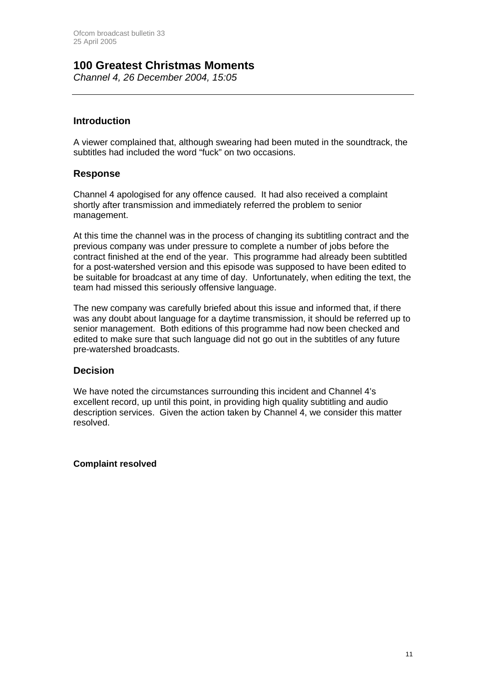### **100 Greatest Christmas Moments**

*Channel 4, 26 December 2004, 15:05*

#### **Introduction**

A viewer complained that, although swearing had been muted in the soundtrack, the subtitles had included the word "fuck" on two occasions.

#### **Response**

Channel 4 apologised for any offence caused. It had also received a complaint shortly after transmission and immediately referred the problem to senior management.

At this time the channel was in the process of changing its subtitling contract and the previous company was under pressure to complete a number of jobs before the contract finished at the end of the year. This programme had already been subtitled for a post-watershed version and this episode was supposed to have been edited to be suitable for broadcast at any time of day. Unfortunately, when editing the text, the team had missed this seriously offensive language.

The new company was carefully briefed about this issue and informed that, if there was any doubt about language for a daytime transmission, it should be referred up to senior management. Both editions of this programme had now been checked and edited to make sure that such language did not go out in the subtitles of any future pre-watershed broadcasts.

#### **Decision**

We have noted the circumstances surrounding this incident and Channel 4's excellent record, up until this point, in providing high quality subtitling and audio description services. Given the action taken by Channel 4, we consider this matter resolved.

#### **Complaint resolved**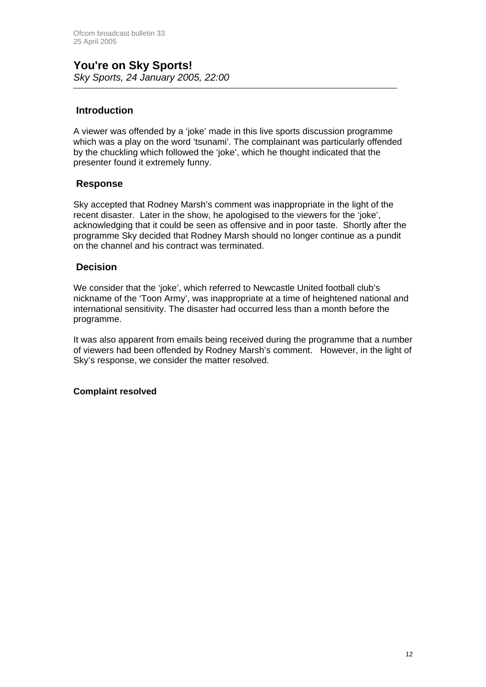#### **Introduction**

A viewer was offended by a 'joke' made in this live sports discussion programme which was a play on the word 'tsunami'. The complainant was particularly offended by the chuckling which followed the 'joke', which he thought indicated that the presenter found it extremely funny.

#### **Response**

Sky accepted that Rodney Marsh's comment was inappropriate in the light of the recent disaster. Later in the show, he apologised to the viewers for the 'joke', acknowledging that it could be seen as offensive and in poor taste. Shortly after the programme Sky decided that Rodney Marsh should no longer continue as a pundit on the channel and his contract was terminated.

#### **Decision**

We consider that the 'joke', which referred to Newcastle United football club's nickname of the 'Toon Army', was inappropriate at a time of heightened national and international sensitivity. The disaster had occurred less than a month before the programme.

It was also apparent from emails being received during the programme that a number of viewers had been offended by Rodney Marsh's comment. However, in the light of Sky's response, we consider the matter resolved.

#### **Complaint resolved**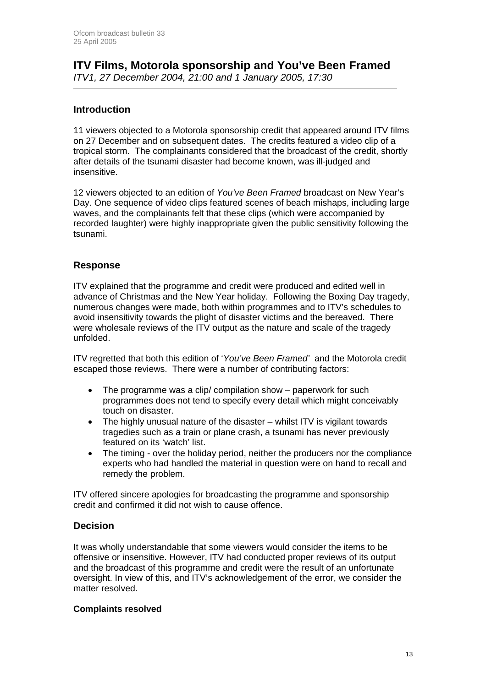#### **ITV Films, Motorola sponsorship and You've Been Framed**  *ITV1, 27 December 2004, 21:00 and 1 January 2005, 17:30*

#### **Introduction**

11 viewers objected to a Motorola sponsorship credit that appeared around ITV films on 27 December and on subsequent dates. The credits featured a video clip of a tropical storm. The complainants considered that the broadcast of the credit, shortly after details of the tsunami disaster had become known, was ill-judged and insensitive.

12 viewers objected to an edition of *You've Been Framed* broadcast on New Year's Day. One sequence of video clips featured scenes of beach mishaps, including large waves, and the complainants felt that these clips (which were accompanied by recorded laughter) were highly inappropriate given the public sensitivity following the tsunami.

#### **Response**

ITV explained that the programme and credit were produced and edited well in advance of Christmas and the New Year holiday. Following the Boxing Day tragedy, numerous changes were made, both within programmes and to ITV's schedules to avoid insensitivity towards the plight of disaster victims and the bereaved. There were wholesale reviews of the ITV output as the nature and scale of the tragedy unfolded.

ITV regretted that both this edition of '*You've Been Framed'* and the Motorola credit escaped those reviews. There were a number of contributing factors:

- The programme was a clip/ compilation show paperwork for such programmes does not tend to specify every detail which might conceivably touch on disaster.
- The highly unusual nature of the disaster whilst ITV is vigilant towards tragedies such as a train or plane crash, a tsunami has never previously featured on its 'watch' list.
- The timing over the holiday period, neither the producers nor the compliance experts who had handled the material in question were on hand to recall and remedy the problem.

ITV offered sincere apologies for broadcasting the programme and sponsorship credit and confirmed it did not wish to cause offence.

#### **Decision**

It was wholly understandable that some viewers would consider the items to be offensive or insensitive. However, ITV had conducted proper reviews of its output and the broadcast of this programme and credit were the result of an unfortunate oversight. In view of this, and ITV's acknowledgement of the error, we consider the matter resolved.

#### **Complaints resolved**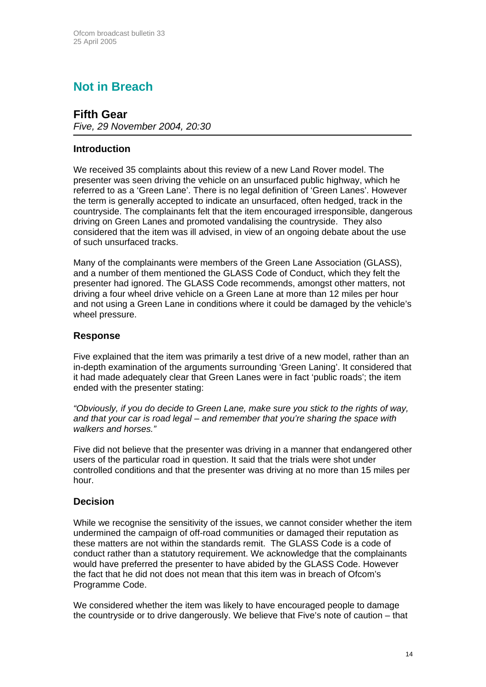# **Not in Breach**

# **Fifth Gear**

*Five, 29 November 2004, 20:30* 

#### **Introduction**

We received 35 complaints about this review of a new Land Rover model. The presenter was seen driving the vehicle on an unsurfaced public highway, which he referred to as a 'Green Lane'. There is no legal definition of 'Green Lanes'. However the term is generally accepted to indicate an unsurfaced, often hedged, track in the countryside. The complainants felt that the item encouraged irresponsible, dangerous driving on Green Lanes and promoted vandalising the countryside. They also considered that the item was ill advised, in view of an ongoing debate about the use of such unsurfaced tracks.

Many of the complainants were members of the Green Lane Association (GLASS), and a number of them mentioned the GLASS Code of Conduct, which they felt the presenter had ignored. The GLASS Code recommends, amongst other matters, not driving a four wheel drive vehicle on a Green Lane at more than 12 miles per hour and not using a Green Lane in conditions where it could be damaged by the vehicle's wheel pressure.

#### **Response**

Five explained that the item was primarily a test drive of a new model, rather than an in-depth examination of the arguments surrounding 'Green Laning'. It considered that it had made adequately clear that Green Lanes were in fact 'public roads'; the item ended with the presenter stating:

*"Obviously, if you do decide to Green Lane, make sure you stick to the rights of way, and that your car is road legal – and remember that you're sharing the space with walkers and horses."* 

Five did not believe that the presenter was driving in a manner that endangered other users of the particular road in question. It said that the trials were shot under controlled conditions and that the presenter was driving at no more than 15 miles per hour.

#### **Decision**

While we recognise the sensitivity of the issues, we cannot consider whether the item undermined the campaign of off-road communities or damaged their reputation as these matters are not within the standards remit. The GLASS Code is a code of conduct rather than a statutory requirement. We acknowledge that the complainants would have preferred the presenter to have abided by the GLASS Code. However the fact that he did not does not mean that this item was in breach of Ofcom's Programme Code.

We considered whether the item was likely to have encouraged people to damage the countryside or to drive dangerously. We believe that Five's note of caution – that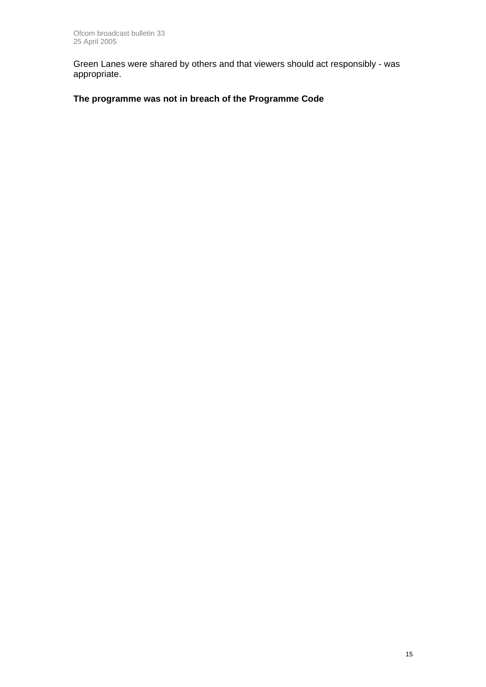Green Lanes were shared by others and that viewers should act responsibly - was appropriate.

### **The programme was not in breach of the Programme Code**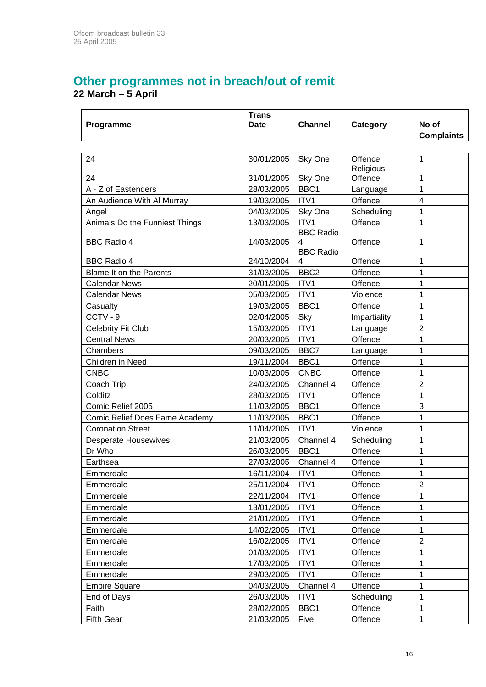# **Other programmes not in breach/out of remit**

**22 March – 5 April** 

|                                | <b>Trans</b> |                       |              |                   |
|--------------------------------|--------------|-----------------------|--------------|-------------------|
| Programme                      | <b>Date</b>  | <b>Channel</b>        | Category     | No of             |
|                                |              |                       |              | <b>Complaints</b> |
|                                |              |                       |              |                   |
| 24                             | 30/01/2005   | Sky One               | Offence      | 1                 |
|                                |              |                       | Religious    |                   |
| 24                             | 31/01/2005   | Sky One               | Offence      | 1                 |
| A - Z of Eastenders            | 28/03/2005   | BBC1                  | Language     | 1                 |
| An Audience With Al Murray     | 19/03/2005   | ITV1                  | Offence      | $\overline{4}$    |
| Angel                          | 04/03/2005   | Sky One               | Scheduling   | 1                 |
| Animals Do the Funniest Things | 13/03/2005   | ITV1                  | Offence      | 1                 |
|                                |              | <b>BBC Radio</b>      |              | 1                 |
| <b>BBC Radio 4</b>             | 14/03/2005   | 4<br><b>BBC Radio</b> | Offence      |                   |
| <b>BBC Radio 4</b>             | 24/10/2004   | 4                     | Offence      | 1                 |
| <b>Blame It on the Parents</b> | 31/03/2005   | BBC <sub>2</sub>      | Offence      | 1                 |
| <b>Calendar News</b>           | 20/01/2005   | ITV1                  | Offence      | 1                 |
| <b>Calendar News</b>           | 05/03/2005   | ITV1                  | Violence     | 1                 |
| Casualty                       | 19/03/2005   | BBC1                  | Offence      | 1                 |
| CCTV-9                         | 02/04/2005   | Sky                   | Impartiality | 1                 |
| <b>Celebrity Fit Club</b>      | 15/03/2005   | ITV1                  | Language     | $\overline{2}$    |
| <b>Central News</b>            | 20/03/2005   | ITV1                  | Offence      | 1                 |
| Chambers                       | 09/03/2005   | BBC7                  | Language     | 1                 |
| Children in Need               | 19/11/2004   | BBC1                  | Offence      | 1                 |
| <b>CNBC</b>                    | 10/03/2005   | <b>CNBC</b>           | Offence      | 1                 |
| Coach Trip                     | 24/03/2005   | Channel 4             | Offence      | $\overline{2}$    |
| Colditz                        | 28/03/2005   | ITV1                  | Offence      | 1                 |
| Comic Relief 2005              | 11/03/2005   | BBC1                  | Offence      | 3                 |
| Comic Relief Does Fame Academy | 11/03/2005   | BBC1                  | Offence      | 1                 |
| <b>Coronation Street</b>       | 11/04/2005   | ITV1                  | Violence     | 1                 |
| <b>Desperate Housewives</b>    | 21/03/2005   | Channel 4             | Scheduling   | 1                 |
| Dr Who                         | 26/03/2005   | BBC1                  | Offence      | 1                 |
| Earthsea                       | 27/03/2005   | Channel 4             | Offence      | 1                 |
| Emmerdale                      | 16/11/2004   | ITV1                  | Offence      | 1                 |
| Emmerdale                      | 25/11/2004   | ITV1                  | Offence      | 2                 |
| Emmerdale                      | 22/11/2004   | ITV1                  | Offence      | 1                 |
| Emmerdale                      | 13/01/2005   | ITV1                  | Offence      | 1                 |
| Emmerdale                      | 21/01/2005   | ITV1                  | Offence      | 1                 |
| Emmerdale                      | 14/02/2005   | ITV1                  | Offence      | 1                 |
| Emmerdale                      | 16/02/2005   | ITV1                  | Offence      | $\overline{2}$    |
| Emmerdale                      | 01/03/2005   | ITV1                  | Offence      | 1                 |
| Emmerdale                      | 17/03/2005   | ITV1                  | Offence      | 1                 |
| Emmerdale                      | 29/03/2005   | ITV1                  | Offence      | 1                 |
| <b>Empire Square</b>           | 04/03/2005   | Channel 4             | Offence      | 1                 |
| End of Days                    | 26/03/2005   | ITV1                  | Scheduling   | 1                 |
| Faith                          | 28/02/2005   | BBC1                  | Offence      | 1                 |
| <b>Fifth Gear</b>              | 21/03/2005   | Five                  | Offence      | 1                 |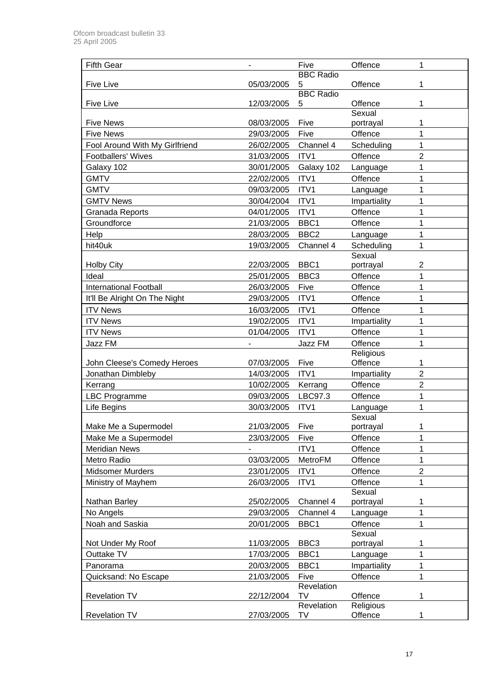| <b>Fifth Gear</b>              | $\overline{\phantom{a}}$ | Five                    | Offence              | 1                   |
|--------------------------------|--------------------------|-------------------------|----------------------|---------------------|
|                                |                          | <b>BBC Radio</b>        |                      |                     |
| <b>Five Live</b>               | 05/03/2005               | 5                       | Offence              | 1                   |
|                                |                          | <b>BBC Radio</b>        |                      |                     |
| <b>Five Live</b>               | 12/03/2005               | 5                       | Offence<br>Sexual    | 1                   |
| <b>Five News</b>               | 08/03/2005               | Five                    | portrayal            | 1                   |
| <b>Five News</b>               | 29/03/2005               | Five                    | Offence              | 1                   |
| Fool Around With My Girlfriend | 26/02/2005               | Channel 4               | Scheduling           | 1                   |
| <b>Footballers' Wives</b>      | 31/03/2005               | ITV1                    | Offence              | $\overline{2}$      |
|                                |                          |                         |                      |                     |
| Galaxy 102                     | 30/01/2005               | Galaxy 102              | Language             | 1                   |
| <b>GMTV</b>                    | 22/02/2005               | ITV1                    | Offence              | 1                   |
| <b>GMTV</b>                    | 09/03/2005               | ITV1                    | Language             | 1                   |
| <b>GMTV News</b>               | 30/04/2004               | ITV1                    | Impartiality         | 1                   |
| Granada Reports                | 04/01/2005               | ITV1                    | Offence              | 1                   |
| Groundforce                    | 21/03/2005               | BBC1                    | Offence              | 1                   |
| Help                           | 28/03/2005               | BBC <sub>2</sub>        | Language             | 1                   |
| hit40uk                        | 19/03/2005               | Channel 4               | Scheduling           | 1                   |
|                                |                          |                         | Sexual               |                     |
| <b>Holby City</b>              | 22/03/2005               | BBC1                    | portrayal            | $\overline{2}$      |
| Ideal                          | 25/01/2005               | BBC <sub>3</sub>        | Offence              | 1                   |
| <b>International Football</b>  | 26/03/2005               | Five                    | Offence              | 1                   |
| It'll Be Alright On The Night  | 29/03/2005               | ITV1                    | Offence              | 1                   |
| <b>ITV News</b>                | 16/03/2005               | ITV1                    | Offence              | 1                   |
| <b>ITV News</b>                | 19/02/2005               | ITV1                    | Impartiality         | 1                   |
| <b>ITV News</b>                | 01/04/2005               | ITV1                    | Offence              | 1                   |
| Jazz FM                        |                          | Jazz FM                 | Offence              | 1                   |
|                                |                          |                         | Religious            |                     |
| John Cleese's Comedy Heroes    | 07/03/2005               | Five                    | Offence              | 1                   |
| Jonathan Dimbleby              | 14/03/2005               | ITV1                    | Impartiality         | $\overline{2}$      |
| Kerrang                        | 10/02/2005               | Kerrang                 | Offence              | $\overline{2}$      |
| <b>LBC Programme</b>           | 09/03/2005               | LBC97.3                 | Offence              | 1                   |
| Life Begins                    | 30/03/2005               | ITV1                    | Language             | 1                   |
| Make Me a Supermodel           | 21/03/2005               | Five                    | Sexual<br>portrayal  |                     |
| Make Me a Supermodel           |                          |                         | Offence              | 1                   |
| <b>Meridian News</b>           | 23/03/2005               | Five<br>ITV1            | Offence              | 1                   |
|                                |                          |                         |                      |                     |
| Metro Radio                    | 03/03/2005               | <b>MetroFM</b>          | Offence              | 1<br>$\overline{2}$ |
| <b>Midsomer Murders</b>        | 23/01/2005               | ITV1                    | Offence              |                     |
| Ministry of Mayhem             | 26/03/2005               | ITV1                    | Offence<br>Sexual    | 1                   |
| Nathan Barley                  | 25/02/2005               | Channel 4               | portrayal            | 1                   |
| No Angels                      |                          |                         |                      |                     |
| Noah and Saskia                |                          |                         |                      |                     |
|                                | 29/03/2005               | Channel 4               | Language             | 1                   |
|                                | 20/01/2005               | BBC1                    | Offence              | 1                   |
|                                |                          |                         | Sexual               | 1                   |
| Not Under My Roof              | 11/03/2005               | BBC <sub>3</sub>        | portrayal            | 1                   |
| Outtake TV                     | 17/03/2005               | BBC1                    | Language             |                     |
| Panorama                       | 20/03/2005               | BBC1                    | Impartiality         | 1<br>1              |
| Quicksand: No Escape           | 21/03/2005               | Five<br>Revelation      | Offence              |                     |
| <b>Revelation TV</b>           | 22/12/2004               | <b>TV</b>               | Offence              | 1                   |
| <b>Revelation TV</b>           | 27/03/2005               | Revelation<br><b>TV</b> | Religious<br>Offence | 1                   |